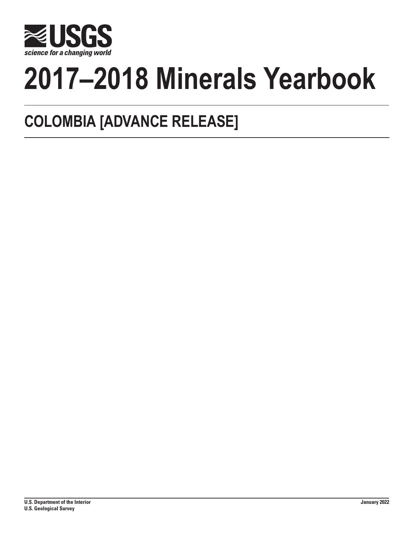

# **2017–2018 Minerals Yearbook**

## **COLOMBIA [ADVANCE RELEASE]**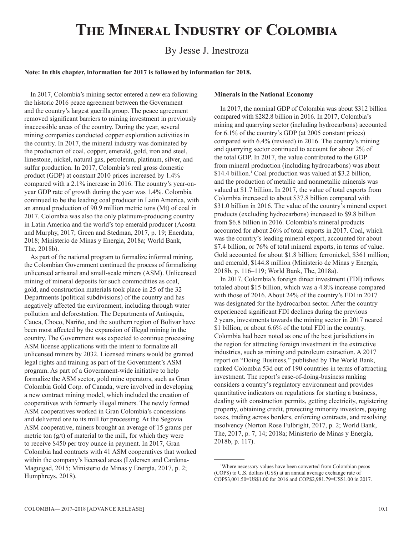## **The Mineral Industry of Colombia**

### By Jesse J. Inestroza

#### **Note: In this chapter, information for 2017 is followed by information for 2018.**

In 2017, Colombia's mining sector entered a new era following the historic 2016 peace agreement between the Government and the country's largest guerilla group. The peace agreement removed significant barriers to mining investment in previously inaccessible areas of the country. During the year, several mining companies conducted copper exploration activities in the country. In 2017, the mineral industry was dominated by the production of coal, copper, emerald, gold, iron and steel, limestone, nickel, natural gas, petroleum, platinum, silver, and sulfur production. In 2017, Colombia's real gross domestic product (GDP) at constant 2010 prices increased by 1.4% compared with a 2.1% increase in 2016. The country's year-onyear GDP rate of growth during the year was 1.4%. Colombia continued to be the leading coal producer in Latin America, with an annual production of 90.9 million metric tons (Mt) of coal in 2017. Colombia was also the only platinum-producing country in Latin America and the world's top emerald producer (Acosta and Murphy, 2017; Green and Stedman, 2017, p. 19; Enerdata, 2018; Ministerio de Minas y Energía, 2018a; World Bank, The, 2018b).

As part of the national program to formalize informal mining, the Colombian Government continued the process of formalizing unlicensed artisanal and small-scale miners (ASM). Unlicensed mining of mineral deposits for such commodities as coal, gold, and construction materials took place in 25 of the 32 Departments (political subdivisions) of the country and has negatively affected the environment, including through water pollution and deforestation. The Departments of Antioquia, Cauca, Choco, Nariño, and the southern region of Bolivar have been most affected by the expansion of illegal mining in the country. The Government was expected to continue processing ASM license applications with the intent to formalize all unlicensed miners by 2032. Licensed miners would be granted legal rights and training as part of the Government's ASM program. As part of a Government-wide initiative to help formalize the ASM sector, gold mine operators, such as Gran Colombia Gold Corp. of Canada, were involved in developing a new contract mining model, which included the creation of cooperatives with formerly illegal miners. The newly formed ASM cooperatives worked in Gran Colombia's concessions and delivered ore to its mill for processing. At the Segovia ASM cooperative, miners brought an average of 15 grams per metric ton  $(g/t)$  of material to the mill, for which they were to receive \$450 per troy ounce in payment. In 2017, Gran Colombia had contracts with 41 ASM cooperatives that worked within the company's licensed areas (Lydersen and Cardona-Maguigad, 2015; Ministerio de Minas y Energía, 2017, p. 2; Humphreys, 2018).

#### **Minerals in the National Economy**

In 2017, the nominal GDP of Colombia was about \$312 billion compared with \$282.8 billion in 2016. In 2017, Colombia's mining and quarrying sector (including hydrocarbons) accounted for 6.1% of the country's GDP (at 2005 constant prices) compared with 6.4% (revised) in 2016. The country's mining and quarrying sector continued to account for about 2% of the total GDP. In 2017, the value contributed to the GDP from mineral production (including hydrocarbons) was about \$14.4 billion.<sup>1</sup> Coal production was valued at \$3.2 billion, and the production of metallic and nonmetallic minerals was valued at \$1.7 billion. In 2017, the value of total exports from Colombia increased to about \$37.8 billion compared with \$31.0 billion in 2016. The value of the country's mineral export products (excluding hydrocarbons) increased to \$9.8 billion from \$6.8 billion in 2016. Colombia's mineral products accounted for about 26% of total exports in 2017. Coal, which was the country's leading mineral export, accounted for about \$7.4 billion, or 76% of total mineral exports, in terms of value. Gold accounted for about \$1.8 billion; ferronickel, \$361 million; and emerald, \$144.8 million (Ministerio de Minas y Energía, 2018b, p. 116–119; World Bank, The, 2018a).

In 2017, Colombia's foreign direct investment (FDI) inflows totaled about \$15 billion, which was a 4.8% increase compared with those of 2016. About 24% of the country's FDI in 2017 was designated for the hydrocarbon sector. After the country experienced significant FDI declines during the previous 2 years, investments towards the mining sector in 2017 neared \$1 billion, or about 6.6% of the total FDI in the country. Colombia had been noted as one of the best jurisdictions in the region for attracting foreign investment in the extractive industries, such as mining and petroleum extraction. A 2017 report on "Doing Business," published by The World Bank, ranked Colombia 53d out of 190 countries in terms of attracting investment. The report's ease-of-doing-business ranking considers a country's regulatory environment and provides quantitative indicators on regulations for starting a business, dealing with construction permits, getting electricity, registering property, obtaining credit, protecting minority investors, paying taxes, trading across borders, enforcing contracts, and resolving insolvency (Norton Rose Fulbright, 2017, p. 2; World Bank, The, 2017, p. 7, 14; 2018a; Ministerio de Minas y Energía, 2018b, p. 117).

<sup>1</sup> Where necessary values have been converted from Colombian pesos (COP\$) to U.S. dollars (US\$) at an annual average exchange rate of COP\$3,001.50=US\$1.00 for 2016 and COP\$2,981.79=US\$1.00 in 2017.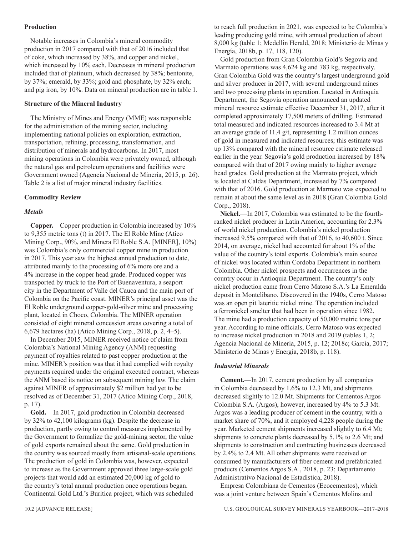#### **Production**

Notable increases in Colombia's mineral commodity production in 2017 compared with that of 2016 included that of coke, which increased by 38%, and copper and nickel, which increased by 10% each. Decreases in mineral production included that of platinum, which decreased by 38%; bentonite, by 37%; emerald, by 33%; gold and phosphate, by 32% each; and pig iron, by 10%. Data on mineral production are in table 1.

#### **Structure of the Mineral Industry**

The Ministry of Mines and Energy (MME) was responsible for the administration of the mining sector, including implementing national policies on exploration, extraction, transportation, refining, processing, transformation, and distribution of minerals and hydrocarbons. In 2017, most mining operations in Colombia were privately owned, although the natural gas and petroleum operations and facilities were Government owned (Agencia Nacional de Minería, 2015, p. 26). Table 2 is a list of major mineral industry facilities.

#### **Commodity Review**

#### *Metals*

**Copper.**—Copper production in Colombia increased by 10% to 9,355 metric tons (t) in 2017. The El Roble Mine (Atico Mining Corp., 90%, and Minera El Roble S.A. [MINER], 10%) was Colombia's only commercial copper mine in production in 2017. This year saw the highest annual production to date, attributed mainly to the processing of 6% more ore and a 4% increase in the copper head grade. Produced copper was transported by truck to the Port of Buenaventura, a seaport city in the Department of Valle del Cauca and the main port of Colombia on the Pacific coast. MINER's principal asset was the El Roble underground copper-gold-silver mine and processing plant, located in Choco, Colombia. The MINER operation consisted of eight mineral concession areas covering a total of 6,679 hectares (ha) (Atico Mining Corp., 2018, p. 2, 4–5).

In December 2015, MINER received notice of claim from Colombia's National Mining Agency (ANM) requesting payment of royalties related to past copper production at the mine. MINER's position was that it had complied with royalty payments required under the original executed contract, whereas the ANM based its notice on subsequent mining law. The claim against MINER of approximately \$2 million had yet to be resolved as of December 31, 2017 (Atico Mining Corp., 2018, p. 17).

**Gold.**—In 2017, gold production in Colombia decreased by 32% to 42,100 kilograms (kg). Despite the decrease in production, partly owing to control measures implemented by the Government to formalize the gold-mining sector, the value of gold exports remained about the same. Gold production in the country was sourced mostly from artisanal-scale operations. The production of gold in Colombia was, however, expected to increase as the Government approved three large-scale gold projects that would add an estimated 20,000 kg of gold to the country's total annual production once operations began. Continental Gold Ltd.'s Buritica project, which was scheduled

to reach full production in 2021, was expected to be Colombia's leading producing gold mine, with annual production of about 8,000 kg (table 1; Medellin Herald, 2018; Ministerio de Minas y Energía, 2018b, p. 17, 118, 120).

Gold production from Gran Colombia Gold's Segovia and Marmato operations was 4,624 kg and 783 kg, respectively. Gran Colombia Gold was the country's largest underground gold and silver producer in 2017, with several underground mines and two processing plants in operation. Located in Antioquia Department, the Segovia operation announced an updated mineral resource estimate effective December 31, 2017, after it completed approximately 17,500 meters of drilling. Estimated total measured and indicated resources increased to 3.4 Mt at an average grade of 11.4 g/t, representing 1.2 million ounces of gold in measured and indicated resources; this estimate was up 13% compared with the mineral resource estimate released earlier in the year. Segovia's gold production increased by 18% compared with that of 2017 owing mainly to higher average head grades. Gold production at the Marmato project, which is located at Caldas Department, increased by 7% compared with that of 2016. Gold production at Marmato was expected to remain at about the same level as in 2018 (Gran Colombia Gold Corp., 2018).

**Nickel.**—In 2017, Colombia was estimated to be the fourthranked nickel producer in Latin America, accounting for 2.3% of world nickel production. Colombia's nickel production increased 9.5% compared with that of 2016, to 40,600 t. Since 2014, on average, nickel had accounted for about 1% of the value of the country's total exports. Colombia's main source of nickel was located within Cordoba Department in northern Colombia. Other nickel prospects and occurrences in the country occur in Antioquia Department. The country's only nickel production came from Cerro Matoso S.A.'s La Emeralda deposit in Montelibano. Discovered in the 1940s, Cerro Matoso was an open pit lateritic nickel mine. The operation included a ferronickel smelter that had been in operation since 1982. The mine had a production capacity of 50,000 metric tons per year. According to mine officials, Cerro Matoso was expected to increase nickel production in 2018 and 2019 (tables 1, 2; Agencia Nacional de Minería, 2015, p. 12; 2018c; Garcia, 2017; Ministerio de Minas y Energía, 2018b, p. 118).

#### *Industrial Minerals*

**Cement.**—In 2017, cement production by all companies in Colombia decreased by 1.6% to 12.3 Mt, and shipments decreased slightly to 12.0 Mt. Shipments for Cementos Argos Colombia S.A. (Argos), however, increased by 4% to 5.3 Mt. Argos was a leading producer of cement in the country, with a market share of 70%, and it employed 4,228 people during the year. Marketed cement shipments increased slightly to 6.4 Mt; shipments to concrete plants decreased by 5.1% to 2.6 Mt; and shipments to construction and contracting businesses decreased by 2.4% to 2.4 Mt. All other shipments were received or consumed by manufacturers of fiber cement and prefabricated products (Cementos Argos S.A., 2018, p. 23; Departamento Administrativo Nacional de Estadística, 2018).

Empresa Colombiana de Cementos (Ecocementos), which was a joint venture between Spain's Cementos Molins and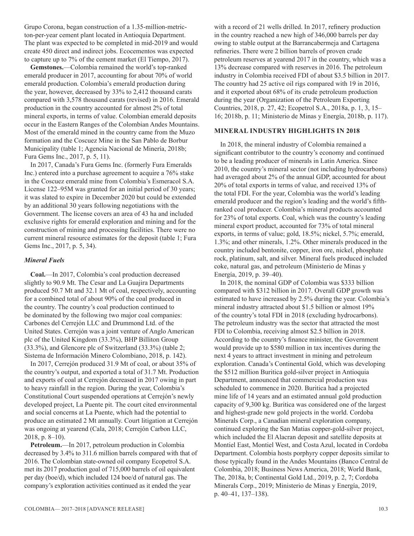Grupo Corona, began construction of a 1.35-million-metricton-per-year cement plant located in Antioquia Department. The plant was expected to be completed in mid-2019 and would create 450 direct and indirect jobs. Ecocementos was expected to capture up to 7% of the cement market (El Tiempo, 2017).

**Gemstones.**—Colombia remained the world's top-ranked emerald producer in 2017, accounting for about 70% of world emerald production. Colombia's emerald production during the year, however, decreased by 33% to 2,412 thousand carats compared with 3,578 thousand carats (revised) in 2016. Emerald production in the country accounted for almost 2% of total mineral exports, in terms of value. Colombian emerald deposits occur in the Eastern Ranges of the Colombian Andes Mountains. Most of the emerald mined in the country came from the Muzo formation and the Coscuez Mine in the San Pablo de Borbur Municipality (table 1; Agencia Nacional de Minería, 2018b; Fura Gems Inc., 2017, p. 5, 11).

In 2017, Canada's Fura Gems Inc. (formerly Fura Emeralds Inc.) entered into a purchase agreement to acquire a 76% stake in the Coscuez emerald mine from Colombia's Esmeracol S.A. License 122–95M was granted for an initial period of 30 years; it was slated to expire in December 2020 but could be extended by an additional 30 years following negotiations with the Government. The license covers an area of 43 ha and included exclusive rights for emerald exploration and mining and for the construction of mining and processing facilities. There were no current mineral resource estimates for the deposit (table 1; Fura Gems Inc., 2017, p. 5, 34).

#### *Mineral Fuels*

**Coal.**—In 2017, Colombia's coal production decreased slightly to 90.9 Mt. The Cesar and La Guajira Departments produced 50.7 Mt and 32.1 Mt of coal, respectively, accounting for a combined total of about 90% of the coal produced in the country. The country's coal production continued to be dominated by the following two major coal companies: Carbones del Cerrejón LLC and Drummond Ltd. of the United States. Cerrejón was a joint venture of Anglo American plc of the United Kingdom (33.3%), BHP Billiton Group (33.3%), and Glencore plc of Switzerland (33.3%) (table 2; Sistema de Información Minero Colombiano, 2018, p. 142).

In 2017, Cerrejón produced 31.9 Mt of coal, or about 35% of the country's output, and exported a total of 31.7 Mt. Production and exports of coal at Cerrejón decreased in 2017 owing in part to heavy rainfall in the region. During the year, Colombia's Constitutional Court suspended operations at Cerrejón's newly developed project, La Puente pit. The court cited environmental and social concerns at La Puente, which had the potential to produce an estimated 2 Mt annually. Court litigation at Cerrejón was ongoing at yearend (Cala, 2018; Cerrejón Carbon LLC, 2018, p. 8–10).

**Petroleum.**—In 2017, petroleum production in Colombia decreased by 3.4% to 311.6 million barrels compared with that of 2016. The Colombian state-owned oil company Ecopetrol S.A. met its 2017 production goal of 715,000 barrels of oil equivalent per day (boe/d), which included 124 boe/d of natural gas. The company's exploration activities continued as it ended the year

with a record of 21 wells drilled. In 2017, refinery production in the country reached a new high of 346,000 barrels per day owing to stable output at the Barrancabermeja and Cartagena refineries. There were 2 billion barrels of proven crude petroleum reserves at yearend 2017 in the country, which was a 13% decrease compared with reserves in 2016. The petroleum industry in Colombia received FDI of about \$3.5 billion in 2017. The country had 25 active oil rigs compared with 19 in 2016, and it exported about 68% of its crude petroleum production during the year (Organization of the Petroleum Exporting Countries, 2018, p. 27, 42; Ecopetrol S.A., 2018a, p. 1, 3, 15– 16; 2018b, p. 11; Ministerio de Minas y Energía, 2018b, p. 117).

#### **MINERAL INDUSTRY HIGHLIGHTS IN 2018**

In 2018, the mineral industry of Colombia remained a significant contributor to the country's economy and continued to be a leading producer of minerals in Latin America. Since 2010, the country's mineral sector (not including hydrocarbons) had averaged about 2% of the annual GDP, accounted for about 20% of total exports in terms of value, and received 13% of the total FDI. For the year, Colombia was the world's leading emerald producer and the region's leading and the world's fifthranked coal producer. Colombia's mineral products accounted for 23% of total exports. Coal, which was the country's leading mineral export product, accounted for 73% of total mineral exports, in terms of value; gold, 18.5%; nickel, 5.7%; emerald, 1.3%; and other minerals, 1.2%. Other minerals produced in the country included bentonite, copper, iron ore, nickel, phosphate rock, platinum, salt, and silver. Mineral fuels produced included coke, natural gas, and petroleum (Ministerio de Minas y Energía, 2019, p. 39–40).

In 2018, the nominal GDP of Colombia was \$333 billion compared with \$312 billion in 2017. Overall GDP growth was estimated to have increased by 2.5% during the year. Colombia's mineral industry attracted about \$1.5 billion or almost 19% of the country's total FDI in 2018 (excluding hydrocarbons). The petroleum industry was the sector that attracted the most FDI to Colombia, receiving almost \$2.5 billion in 2018. According to the country's finance minister, the Government would provide up to \$580 million in tax incentives during the next 4 years to attract investment in mining and petroleum exploration. Canada's Continental Gold, which was developing the \$512 million Buritica gold-silver project in Antioquia Department, announced that commercial production was scheduled to commence in 2020. Buritica had a projected mine life of 14 years and an estimated annual gold production capacity of 9,300 kg. Buritica was considered one of the largest and highest-grade new gold projects in the world. Cordoba Minerals Corp., a Canadian mineral exploration company, continued exploring the San Matias copper-gold-silver project, which included the El Alacran deposit and satellite deposits at Montiel East, Montiel West, and Costa Azul, located in Cordoba Department. Colombia hosts porphyry copper deposits similar to those typically found in the Andes Mountains (Banco Central de Colombia, 2018; Business News America, 2018; World Bank, The, 2018a, b; Continental Gold Ltd., 2019, p. 2, 7; Cordoba Minerals Corp., 2019; Ministerio de Minas y Energía, 2019, p. 40–41, 137–138).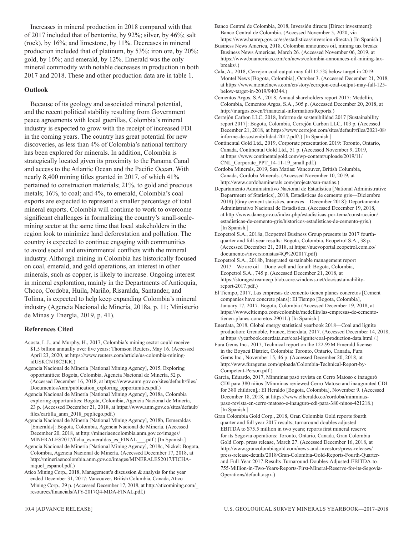Increases in mineral production in 2018 compared with that of 2017 included that of bentonite, by 92%; silver, by 46%; salt (rock), by 16%; and limestone, by 11%. Decreases in mineral production included that of platinum, by 53%; iron ore, by 20%; gold, by 16%; and emerald, by 12%. Emerald was the only mineral commodity with notable decreases in production in both 2017 and 2018. These and other production data are in table 1.

#### **Outlook**

Because of its geology and associated mineral potential, and the recent political stability resulting from Government peace agreements with local guerillas, Colombia's mineral industry is expected to grow with the receipt of increased FDI in the coming years. The country has great potential for new discoveries, as less than 4% of Colombia's national territory has been explored for minerals. In addition, Colombia is strategically located given its proximity to the Panama Canal and access to the Atlantic Ocean and the Pacific Ocean. With nearly 8,400 mining titles granted in 2017, of which 41% pertained to construction materials; 21%, to gold and precious metals; 16%, to coal; and 4%, to emerald, Colombia's coal exports are expected to represent a smaller percentage of total mineral exports. Colombia will continue to work to overcome significant challenges in formalizing the country's small-scalemining sector at the same time that local stakeholders in the region look to minimize land deforestation and pollution. The country is expected to continue engaging with communities to avoid social and environmental conflicts with the mineral industry. Although mining in Colombia has historically focused on coal, emerald, and gold operations, an interest in other minerals, such as copper, is likely to increase. Ongoing interest in mineral exploration, mainly in the Departments of Antioquia, Choco, Cordoba, Huila, Nariño, Risaralda, Santander, and Tolima, is expected to help keep expanding Colombia's mineral industry (Agencia Nacional de Minería, 2018a, p. 11; Ministerio de Minas y Energía, 2019, p. 41).

#### **References Cited**

- Acosta, L.J., and Murphy, H., 2017, Colombia's mining sector could receive \$1.5 billion annually over five years: Thomson Reuters, May 16. (Accessed April 23, 2020, at https://www.reuters.com/article/us-colombia-miningidUSKCN18C2KR.)
- Agencia Nacional de Minería [National Mining Agency], 2015, Exploring opportunities: Bogota, Colombia, Agencia Nacional de Minería, 52 p. (Accessed December 16, 2018, at https://www.anm.gov.co/sites/default/files/ DocumentosAnm/publication\_exploring\_opportunities.pdf.)
- Agencia Nacional de Minería [National Mining Agency], 2018a, Colombia exploring opportunities: Bogota, Colombia, Agencia Nacional de Minería, 23 p. (Accessed December 21, 2018, at https://www.anm.gov.co/sites/default/ files/cartilla\_anm\_2018\_pqpliego.pdf.)
- Agencia Nacional de Minería [National Mining Agency], 2018b, Esmeraldas [Emeralds]: Bogota, Colombia, Agencia Nacional de Minería. (Accessed December 20, 2018, at http://mineriaencolombia.anm.gov.co/images/ MINERALES2017/ficha\_esmeraldas\_es\_FINAL\_\_\_.pdf.) [In Spanish.]
- Agencia Nacional de Minería [National Mining Agency], 2018c, Nickel: Bogota, Colombia, Agencia Nacional de Minería. (Accessed December 17, 2018, at http://mineriaencolombia.anm.gov.co/images/MINERALES2017/FICHAniquel\_espanol.pdf.)
- Atico Mining Corp., 2018, Management's discussion & analysis for the year ended December 31, 2017: Vancouver, British Columbia, Canada, Atico Mining Corp., 29 p. (Accessed December 17, 2018, at http://aticomining.com/\_ resources/financials/ATY-2017Q4-MDA-FINAL.pdf.)

Banco Central de Colombia, 2018, Inversión directa [Direct investment]: Banco Central de Colombia. (Accessed November 5, 2020, via https://www.banrep.gov.co/es/estadisticas/inversion-directa.) [In Spanish.]

- Business News America, 2018, Colombia announces oil, mining tax breaks: Business News Americas, March 26. (Accessed November 06, 2019, at https://www.bnamericas.com/en/news/colombia-announces-oil-mining-taxbreaks/.)
- Cala, A., 2018, Cerrejon coal output may fall 12.5% below target in 2019: Montel News [Bogota, Colombia], October 3. (Accessed December 21, 2018, at https://www.montelnews.com/en/story/cerrejon-coal-output-may-fall-125 below-target-in-2019/940344.)
- Cementos Argos, S.A., 2018, Annual shareholders report 2017: Medellín, Colombia, Cementos Argos, S.A., 305 p. (Accessed December 20, 2018, at http://ir.argos.co/en/Finantcial-information/Reports.)
- Cerrejón Carbon LLC, 2018, Informe de sostenibilidad 2017 [Sustainability report 2017]: Bogota, Colombia, Cerrejón Carbon LLC, 103 p. (Accessed December 21, 2018, at https://www.cerrejon.com/sites/default/files/2021-08/ informe-de-sostenibilidad-2017.pdf/.) [In Spanish.]
- Continental Gold Ltd., 2019, Corporate presentation 2019: Toronto, Ontario, Canada, Continental Gold Ltd., 51 p. (Accessed November 9, 2019, at https://www.continentalgold.com/wp-content/uploads/2019/11/ CNL Corporate PPT 14-11-19 small.pdf.)
- Cordoba Minerals, 2019, San Matias: Vancouver, British Columbia, Canada, Cordoba Minerals. (Accessed November 10, 2019, at http://www.cordobaminerals.com/projects/san-matias.)
- Departamento Administrativo Nacional de Estadística [National Administrative Department of Statistics], 2018, Estadísticas de cemento gris—Diciembre 2018) [Gray cement statistics, annexes—December 2018]: Departamento Administrativo Nacional de Estadística. (Accessed December 19, 2018, at http://www.dane.gov.co/index.php/estadisticas-por-tema/construccion/ estadisticas-de-cemento-gris/historicos-estadisticas-de-cemento-gris.) [In Spanish.]
- Ecopetrol S.A., 2018a, Ecopetrol Business Group presents its 2017 fourthquarter and full-year results: Bogota, Colombia, Ecopetrol S.A., 38 p. (Accessed December 21, 2018, at https://nuevoportal.ecopetrol.com.co/ documentos/inversionistas/4Q%202017.pdf)
- Ecopetrol S.A., 2018b, Integrated sustainable management report 2017—We are oil—Done well and for all: Bogota, Colombia, Ecopetrol S.A., 745 p. (Accessed December 21, 2018, at https://storagestreamecp.blob.core.windows.net/doc/sustainabilityreport-2017.pdf.)
- El Tiempo, 2017, Las empresas de cemento tienen planes concretos [Cement companies have concrete plans]: El Tiempo [Bogota, Colombia], January 17, 2017. Bogota, Colombia (Accessed December 19, 2018, at https://www.eltiempo.com/colombia/medellin/las-empresas-de-cementotienen-planes-concretos-29011.) [In Spanish.]
- Enerdata, 2018, Global energy statistical yearbook 2018—Coal and lignite production: Grenoble, France, Enerdata, 2017. (Accessed December 14, 2018, at https://yearbook.enerdata.net/coal-lignite/coal-production-data.html /.)
- Fura Gems Inc., 2017, Technical report on the 122-95M Emerald license in the Boyacá District, Colombia: Toronto, Ontario, Canada, Fura Gems Inc., November 15, 46 p. (Accessed December 20, 2018, at http://www.furagems.com/uploads/Colombia-Technical-Report-by-Competent-Person.pdf.)
- Garcia, Eduardo, 2017, Minminas pasó revista en Cerro Matoso e inauguró CDI para 380 niños [Minminas reviewed Cerro Matoso and inaugurated CDI for 380 children],: El Heraldo [Bogota, Colombia], November 9. (Accessed December 18, 2018, at https://www.elheraldo.co/cordoba/minminaspaso-revista-en-cerro-matoso-e-inauguro-cdi-para-380-ninos-421218.) [In Spanish.]
- Gran Colombia Gold Corp., 2018, Gran Colombia Gold reports fourth quarter and full year 2017 results; turnaround doubles adjusted EBITDA to \$75.5 million in two years; reports first mineral reserve for its Segovia operations: Toronto, Ontario, Canada, Gran Colombia Gold Corp. press release, March 27. (Accessed December 16, 2018, at http://www.grancolombiagold.com/news-and-investors/press-releases/ press-release-details/2018/Gran-Colombia-Gold-Reports-Fourth-Quarterand-Full-Year-2017-Results-Turnaround-Doubles-Adjusted-EBITDA-to-755-Million-in-Two-Years-Reports-First-Mineral-Reserve-for-its-Segovia-Operations/default.aspx.)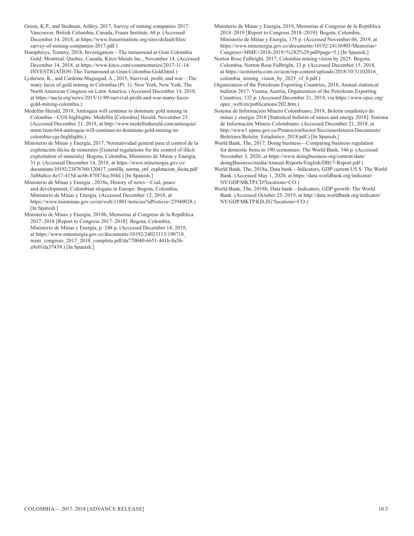Green, K.P., and Stedman, Ashley, 2017, Survey of mining companies 2017: Vancouver, British Columbia, Canada, Fraser Institute, 68 p. (Accessed December 14, 2018, at https://www.fraserinstitute.org/sites/default/files/ survey-of-mining-companies-2017.pdf.)

Humphreys, Tommy, 2018, Investigation—The turnaround at Gran Colombia Gold: Montreal, Quebec, Canada, Kitco Metals Inc., November 14. (Accessed December 14, 2018, at https://www.kitco.com/commentaries/2017-11-14/ INVESTIGATION-The-Turnaround-at-Gran-Colombia-Gold.html.)

Lydersen, K., and Cardona-Maguigad, A., 2015, Survival, profit, and war—The many faces of gold mining in Colombia (Pt. 1): New York, New York, The North American Congress on Latin America. (Accessed December 14, 2018, at https://nacla.org/news/2015/11/09/survival-profit-and-war-many-facesgold-mining-colombia.)

Medellin Herald, 2018, Antioquia will continue to dominate gold mining in Colombia—CGS highlights: Medellin [Colombia] Herald, November 23. (Accessed December 21, 2018, at http://www.medellinherald.com/antioquia/ mmn/item/664-antioquia-will-continue-to-dominate-gold-mining-incolombia-cgs-highlights.)

Ministerio de Minas y Energía, 2017, Normatividad general para el control de la explotación ilícita de minerales [General regulations for the control of illicit exploitation of minerals]: Bogota, Colombia, Ministerio de Minas y Energía, 31 p. (Accessed December 14, 2018, at https://www.minenergia.gov.co/ documents/10192/23876760/120417 cartillla norma ctrl explotacion ilicita.pdf/ 3a88a8ce-8e17-415d-ac6b-87f474cc304d.) [In Spanish.]

Ministerio de Minas y Energía , 2018a, History of news—Coal, peace and development, Colombian slogans in Europe: Bogota, Colombia, Ministerio de Minas y Energía. (Accessed December 12, 2018, at https://www.minminas.gov.co/en/web/11801/noticias?idNoticia=23940028.) [In Spanish.]

Ministerio de Minas y Energía, 2018b, Memorias al Congreso de la República 2017–2018 [Report to Congress 2017–2018]: Bogota, Colombia, Ministerio de Minas y Energía, p. 248 p. (Accessed December 14, 2018, at https://www.minenergia.gov.co/documents/10192/24023113/190718\_ mem\_congreso\_2017\_2018\_completa.pdf/da770040-6651-441b-8a5ba9e01da37439.) [In Spanish.]

Ministerio de Minas y Energía, 2019, Memorias al Congreso de la República 2018–2019 [Report to Congress 2018–2019]: Bogota, Colombia, Ministerio de Minas y Energía, 175 p. (Accessed November 06, 2019, at https://www.minenergia.gov.co/documents/10192/24136905/Memorias+ Congreso+MME+2018-2019+%282%29.pdf#page=5.) [In Spanish.]

Norton Rose Fulbright, 2017, Colombia mining vision by 2025: Bogota, Colombia, Norton Rose Fulbright, 33 p. (Accessed December 15, 2018, at https://acmineria.com.co/acm/wp-content/uploads/2018/10/31102016\_ colombia mining vision by 2025 vf 0.pdf.)

Organization of the Petroleum Exporting Countries, 2018, Annual statistical bulletin 2017: Vienna, Austria, Organization of the Petroleum Exporting Countries, 132 p. (Accessed December 21, 2018, via https://www.opec.org/ opec\_web/en/publications/202.htm.)

Sistema de Información Minero Colombiano, 2018, Boletin estadistico de minas y energia 2018 [Statistical bulletin of mines and energy 2018]: Sistema de Información Minero Colombiano. (Accessed December 21, 2018, at http://www1.upme.gov.co/PromocionSector/SeccionesInteres/Documents/ Boletines/Boletin\_Estadistico\_2018.pdf.) [In Spanish.]

World Bank, The, 2017, Doing business—Comparing business regulation for domestic firms in 190 economies: The World Bank, 346 p. (Accessed November 3, 2020, at https://www.doingbusiness.org/content/dam/ doingBusiness/media/Annual-Reports/English/DB17-Report.pdf.)

World Bank, The, 2018a, Data bank—Indicators, GDP current US \$: The World Bank. (Accessed May 1, 2020, at https://data.worldbank.org/indicator/ NY.GDP.MKTP.CD?locations=CO.)

World Bank, The, 2018b, Data bank—Indicators, GDP growth: The World Bank. (Accessed October 25, 2019, at http://data.worldbank.org/indicator/ NY.GDP.MKTP.KD.ZG?locations=CO.)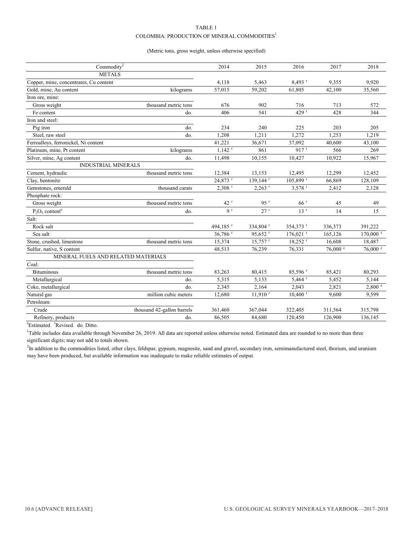#### TABLE 1 COLOMBIA: PRODUCTION OF MINERAL COMMODITIES $^{\rm l}$

#### (Metric tons, gross weight, unless otherwise specified)

| Commodity <sup>2</sup>                 |                            | 2014                 | 2015                   | 2016                   | 2017                  | 2018                |
|----------------------------------------|----------------------------|----------------------|------------------------|------------------------|-----------------------|---------------------|
| <b>METALS</b>                          |                            |                      |                        |                        |                       |                     |
| Copper, mine, concentrates, Cu content |                            | 4,118                | 5,463                  | $8,493$ <sup>r</sup>   | 9,355                 | 9,920               |
| Gold, mine, Au content                 | kilograms                  | 57,015               | 59,202                 | 61,805                 | 42,100                | 35,560              |
| Iron ore, mine:                        |                            |                      |                        |                        |                       |                     |
| Gross weight                           | thousand metric tons       | 676                  | 902                    | 716                    | 713                   | 572                 |
| Fe content                             | do.                        | 406                  | 541                    | 429r                   | 428                   | 344                 |
| Iron and steel:                        |                            |                      |                        |                        |                       |                     |
| Pig iron                               | do.                        | 234                  | 240                    | 225                    | 203                   | 205                 |
| Steel, raw steel                       | do.                        | 1,208                | 1,211                  | 1,272                  | 1,253                 | 1,219               |
| Ferroalloys, ferronickel, Ni content   |                            | 41,221               | 36,671                 | 37,092                 | 40,600                | 43,100              |
| Platinum, mine, Pt content             | kilograms                  | $1,142$ <sup>r</sup> | 861                    | $917$ <sup>r</sup>     | 566                   | 269                 |
| Silver, mine, Ag content               | do.                        | 11,498               | 10,155                 | 10,427                 | 10,922                | 15,967              |
| <b>INDUSTRIAL MINERALS</b>             |                            |                      |                        |                        |                       |                     |
| Cement, hydraulic                      | thousand metric tons       | 12,384               | 13,153                 | 12,495                 | 12,299                | 12,452              |
| Clay, bentonite                        |                            | 24,873 r             | $139.144$ <sup>r</sup> | 105,899 r              | 66,869                | 128,109             |
| Gemstones, emerald                     | thousand carats            | $2,308$ <sup>r</sup> | $2,263$ <sup>r</sup>   | $3.578$ <sup>r</sup>   | 2,412                 | 2,128               |
| Phosphate rock:                        |                            |                      |                        |                        |                       |                     |
| Gross weight                           | thousand metric tons       | 42r                  | 95r                    | 66 <sup>r</sup>        | 45                    | 49                  |
| $P_2O_5$ content <sup>e</sup>          | do.                        | 9 <sup>r</sup>       | 27 r                   | 13 <sup>r</sup>        | 14                    | 15                  |
| Salt:                                  |                            |                      |                        |                        |                       |                     |
| Rock salt                              |                            | 494,185 <sup>r</sup> | 334,804 r              | 354,373 r              | 336,373               | 391,222             |
| Sea salt                               |                            | 36,786 r             | 95.652 <sup>r</sup>    | $176,021$ <sup>r</sup> | 165,126               | $170,000$ $\degree$ |
| Stone, crushed, limestone              | thousand metric tons       | 15,374               | 15,757 r               | $18,252$ <sup>r</sup>  | 16,608                | 18,487              |
| Sulfur, native, S content              |                            | 48,513               | 76,239                 | 76,331                 | $76{,}000$ $^{\circ}$ | 76,000 e            |
| MINERAL FUELS AND RELATED MATERIALS    |                            |                      |                        |                        |                       |                     |
| Coal:                                  |                            |                      |                        |                        |                       |                     |
| <b>Bituminous</b>                      | thousand metric tons       | 83,263               | 80,415                 | 85,596 <sup>r</sup>    | 85,421                | 80,293              |
| Metallurgical                          | do.                        | 5,315                | 5,133                  | $5,464$ <sup>r</sup>   | 5,452                 | 5,144               |
| Coke, metallurgical                    | do.                        | 2,345                | 2,164                  | 2,043                  | 2,821                 | 2,800 °             |
| Natural gas                            | million cubic meters       | 12,680               | $11,910$ <sup>r</sup>  | $10,400$ <sup>r</sup>  | 9,600                 | 9,599               |
| Petroleum:                             |                            |                      |                        |                        |                       |                     |
| Crude                                  | thousand 42-gallon barrels | 361,460              | 367,044                | 322,405                | 311,564               | 315,798             |
| Refinery, products                     | do.                        | 86,505               | 84,680                 | 120,450                | 126,900               | 136,145             |

 $\text{c}^{\text{e}}$ Estimated. <sup>r</sup>Revised. do. Ditto.

 $1$ Table includes data available through November 26, 2019. All data are reported unless otherwise noted. Estimated data are rounded to no more than three significant digits; may not add to totals shown.

<sup>2</sup>In addition to the commodities listed, other clays, feldspar, gypsum, magnesite, sand and gravel, secondary iron, semimanufactured steel, thorium, and uranium may have been produced, but available information was inadequate to make reliable estimates of output.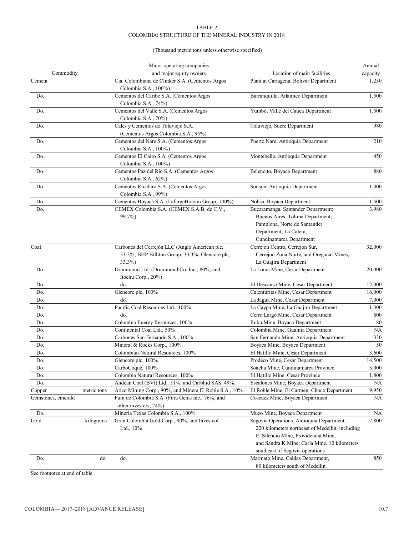#### TABLE 2 COLOMBIA: STRUCTURE OF THE MINERAL INDUSTRY IN 2018

#### (Thousand metric tons unless otherwise specified)

|                    |                                                 | Major operating companies                                      |                                                 | Annual    |
|--------------------|-------------------------------------------------|----------------------------------------------------------------|-------------------------------------------------|-----------|
| Commodity          |                                                 | and major equity owners                                        | Location of main facilities                     | capacity  |
| Cement             |                                                 | Cía. Colombiana de Clinker S.A. (Cementos Argos                | Plant at Cartagena, Bolivar Department          | 1,250     |
|                    |                                                 | Colombia S.A., 100%)                                           |                                                 |           |
| Do.                |                                                 | Cementos del Caribe S.A. (Cementos Argos                       | Barranquilla, Atlantico Department              | 1,500     |
|                    |                                                 | Colombia S.A., 74%)                                            |                                                 |           |
| Do.                |                                                 | Cementos del Valle S.A. (Cementos Argos                        | Yumbo, Valle del Cauca Department               | 1,500     |
|                    |                                                 | Colombia S.A., 70%)                                            |                                                 |           |
| Do.                |                                                 | Cales y Cementos de Toluviejo S.A.                             | Toluviejo, Sucre Department                     | 980       |
|                    |                                                 | (Cementos Argos Colombia S.A., 95%)                            |                                                 |           |
| Do.                |                                                 | Cementos del Nare S.A. (Cementos Argos<br>Colombia S.A., 100%) | Puerto Nare, Antioquia Department               | 210       |
| Do.                |                                                 |                                                                | Montebello, Antioquia Department                | 450       |
|                    |                                                 | Cementos El Cairo S.A. (Cementos Argos<br>Colombia S.A., 100%) |                                                 |           |
| Do.                |                                                 | Cementos Paz del Río S.A. (Cementos Argos                      | Belencito, Boyaca Department                    | 880       |
|                    |                                                 | Colombia S.A., 62%)                                            |                                                 |           |
| Do.                |                                                 | Cementos Ríoclaro S.A. (Cementos Argos                         | Sonson, Antioquia Department                    | 1,400     |
|                    |                                                 | Colombia S.A., 99%)                                            |                                                 |           |
| Do.                |                                                 | Cementos Boyacá S.A. (LafargeHolcim Group, 100%)               | Nobsa, Boyaca Department                        | 1,500     |
| Do.                |                                                 | CEMEX Colombia S.A. (CEMEX S.A.B. de C.V.,                     | Bucaramanga, Santander Department;              | 3,980     |
|                    |                                                 | 99.7%)                                                         | Buenos Aires, Tolima Department;                |           |
|                    |                                                 |                                                                | Pamplona, Norte de Santander                    |           |
|                    |                                                 |                                                                | Department; La Calera,                          |           |
|                    |                                                 |                                                                | Cundinamarca Department                         |           |
|                    |                                                 |                                                                |                                                 |           |
| Coal               |                                                 | Carbones del Cerrejón LLC (Anglo American plc,                 | Cerrejon Centro, Cerrejon Sur,                  | 32,000    |
|                    | 33.3%; BHP Billiton Group, 33.3%; Glencore plc, | Cerrejon Zona Norte, and Oreganal Mines,                       |                                                 |           |
|                    |                                                 | 33.3%)                                                         | La Guajira Department                           |           |
| Do.                |                                                 | Drummond Ltd. (Drummond Co. Inc., 80%, and                     | La Loma Mine, Cesar Department                  | 20,000    |
|                    |                                                 | Itochu Corp., 20%)                                             |                                                 |           |
| Do.                |                                                 | do.                                                            | El Descanso Mine, Cesar Department              | 12,000    |
| Do.                |                                                 | Glencore plc, 100%<br>do.                                      | Calenturitas Mine, Cesar Department             | 16,000    |
| Do.                |                                                 | Pacific Coal Resources Ltd., 100%                              | La Jagua Mine, Cesar Department                 | 7,000     |
| Do.                |                                                 | do.                                                            | La Caypa Mine, La Guajira Department            | 1,300     |
| Do.                |                                                 |                                                                | Cerro Largo Mine, Cesar Department              | 600       |
| Do.                |                                                 | Colombia Energy Resources, 100%                                | Ruku Mine, Boyaca Department                    | 80        |
| Do.                |                                                 | Continental Coal Ltd., 50%                                     | Colombia Mine, Guainia Department               | <b>NA</b> |
| Do.                |                                                 | Carbones San Fernando S.A., 100%                               | San Fernando Mine, Antioquia Department         | 330       |
| Do.                |                                                 | Mineral & Rocks Corp., 100%                                    | Boyaca Mine, Boyaca Department                  | 50        |
| Do.                |                                                 | Colombian Natural Resources, 100%                              | El Hatillo Mine, Cesar Department               | 3,600     |
| Do.                |                                                 | Glencore plc, 100%                                             | Prodeco Mine, Cesar Department                  | 14,500    |
| Do.                |                                                 | CarboCoque, 100%                                               | Soacha Mine, Cundinamarca Province              | 3,000     |
| Do.                |                                                 | Colombia Natural Resources, 100%                               | El Hatillo Mine, Cesar Province                 | 1,800     |
| Do.                |                                                 | Andean Coal (BVI) Ltd., 51%, and Carbhid SAS, 49%,             | Escalones Mine, Boyaca Department               | NA        |
| Copper             | metric tons                                     | Atico Mining Corp., 90%, and Minera El Roble S.A., 10%         | El Roble Mine, El Carmen, Choco Department      | 9,950     |
| Gemstones, emerald |                                                 | Fura de Colombia S.A. (Fura Gems Inc., 76%, and                | Coscuez Mine, Boyaca Department                 | NA        |
|                    |                                                 | other investors, 24%)                                          |                                                 |           |
| Do.                |                                                 | Mineria Texas Colombia S.A., 100%                              | Muzo Mine, Boyaca Department                    | NA        |
| Gold               | kilograms                                       | Gran Colombia Gold Corp., 90%, and Investcol                   | Segovia Operations, Antioquia Department,       | 2,800     |
|                    |                                                 | Ltd., 10%                                                      | 220 kilometers northeast of Medellin, including |           |
|                    |                                                 |                                                                | El Silencio Mine, Providencia Mine,             |           |
|                    |                                                 |                                                                | and Sandra K Mine; Carla Mine, 10 kilometers    |           |
|                    |                                                 |                                                                | southeast of Segovia operations                 |           |
| Do.                | do.                                             | do.                                                            | Marmato Mine, Caldas Department,                | 850       |
|                    |                                                 |                                                                | 80 kilometers south of Medellin                 |           |

See footnotes at end of table.